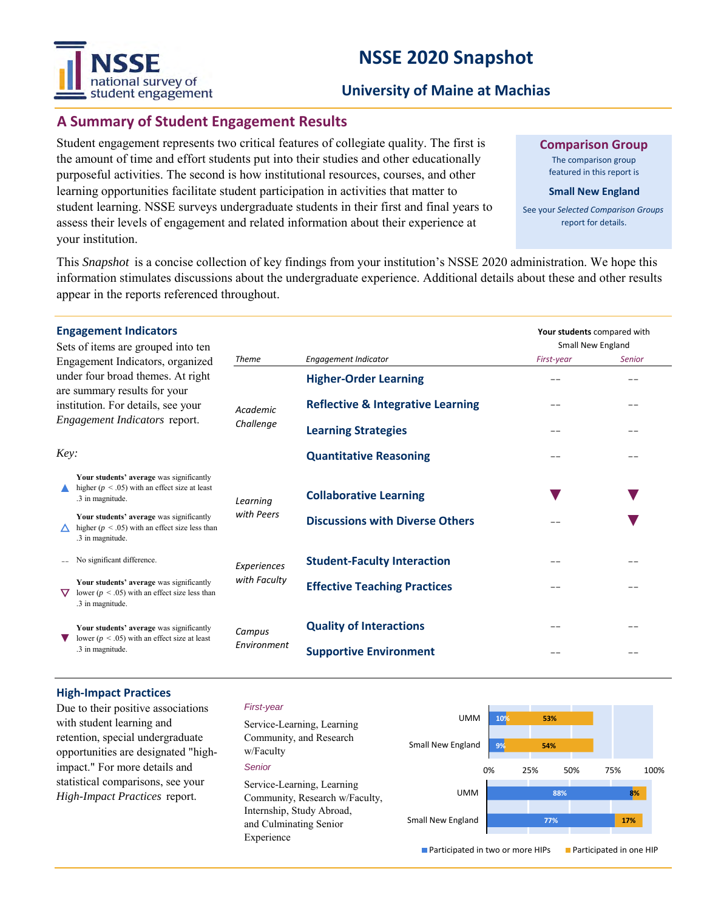# **NSSE 2020 Snapshot**



# **University of Maine at Machias**

# **A Summary of Student Engagement Results**

Student engagement represents two critical features of collegiate quality. The first is the amount of time and effort students put into their studies and other educationally purposeful activities. The second is how institutional resources, courses, and other learning opportunities facilitate student participation in activities that matter to student learning. NSSE surveys undergraduate students in their first and final years to assess their levels of engagement and related information about their experience at your institution.

**Comparison Group**

The comparison group featured in this report is

#### **Small New England**

See your *Selected Comparison Groups*  report for details.

Small New England *First-year Senior*

**Your students** compared with

--

--

--

--

**▼**

--

--

--

--

--

--

--

--

100%

--

--

--

--

--

**▼**

**▼**

This *Snapshot* is a concise collection of key findings from your institution's NSSE 2020 administration. We hope this information stimulates discussions about the undergraduate experience. Additional details about these and other results appear in the reports referenced throughout.

**Quality of Interactions**

**Supportive Environment**

#### **Engagement Indicators**

|                                                                    | Sets of items are grouped into ten<br>Engagement Indicators, organized                                             | <b>Theme</b>          | <b>Engagement Indicator</b>                  |
|--------------------------------------------------------------------|--------------------------------------------------------------------------------------------------------------------|-----------------------|----------------------------------------------|
|                                                                    | under four broad themes. At right                                                                                  |                       | <b>Higher-Order Learning</b>                 |
| are summary results for your<br>institution. For details, see your |                                                                                                                    | Academic<br>Challenge | <b>Reflective &amp; Integrative Learning</b> |
| <i>Engagement Indicators report.</i>                               |                                                                                                                    |                       | <b>Learning Strategies</b>                   |
| Key:                                                               |                                                                                                                    |                       | <b>Quantitative Reasoning</b>                |
|                                                                    | Your students' average was significantly<br>higher ( $p < .05$ ) with an effect size at least<br>.3 in magnitude.  | Learning              | <b>Collaborative Learning</b>                |
|                                                                    | Your students' average was significantly<br>higher ( $p < .05$ ) with an effect size less than<br>.3 in magnitude. | with Peers            | <b>Discussions with Diverse Others</b>       |
|                                                                    | No significant difference.                                                                                         | Experiences           | <b>Student-Faculty Interaction</b>           |
|                                                                    | Your students' average was significantly<br>lower ( $p < .05$ ) with an effect size less than                      | with Faculty          | <b>Effective Teaching Practices</b>          |

**▼** Your students' average was significantly lower ( $p < .05$ ) with an effect size at least .3 in magnitude.

**High-Impact Practices**

.3 in magnitude.

# *First-year*

*Campus Environment*

Due to their positive associations with student learning and retention, special undergraduate opportunities are designated "highimpact." For more details and statistical comparisons, see your *High-Impact Practices* report.

| Service-Learning, Learning<br>Community, and Research<br>w/Faculty | <b>UMM</b><br>Small New England    | 10%<br>9% | 53%<br>54% |     |                                |     |  |
|--------------------------------------------------------------------|------------------------------------|-----------|------------|-----|--------------------------------|-----|--|
| Senior                                                             |                                    | 0%        | 25%        | 50% | 75%                            | 100 |  |
| Service-Learning, Learning<br>Community, Research w/Faculty,       | <b>UMM</b>                         |           | 88%        |     |                                | 8%  |  |
| Internship, Study Abroad,<br>and Culminating Senior                | Small New England                  | 77%       |            |     | 17%                            |     |  |
| Experience                                                         | ■ Participated in two or more HIPs |           |            |     | <b>Participated in one HIP</b> |     |  |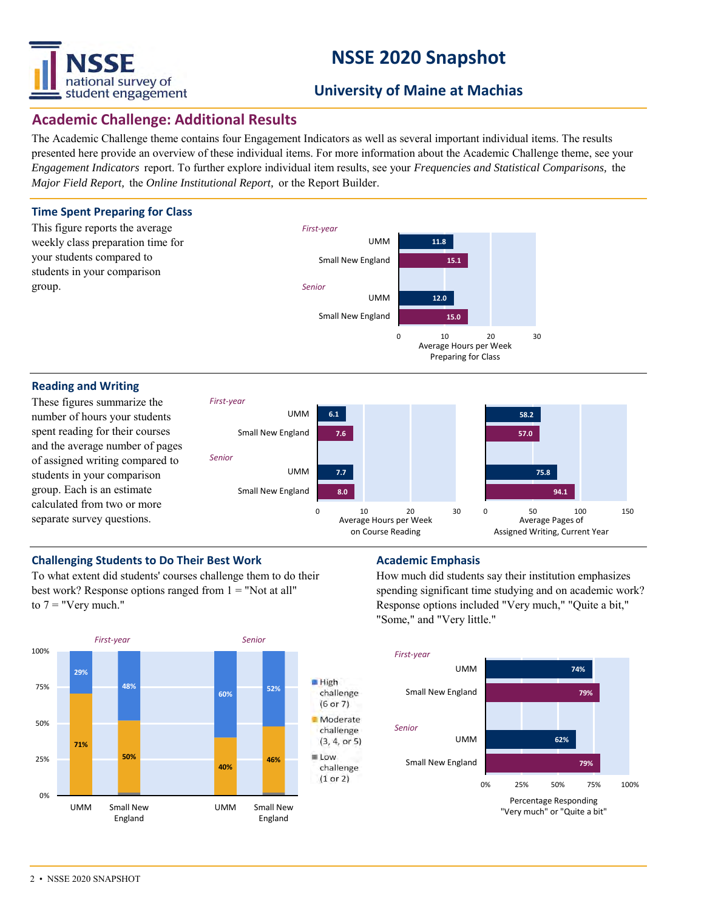

# **NSSE 2020 Snapshot**

# **University of Maine at Machias**

# **Academic Challenge: Additional Results**

The Academic Challenge theme contains four Engagement Indicators as well as several important individual items. The results presented here provide an overview of these individual items. For more information about the Academic Challenge theme, see your *Engagement Indicators* report. To further explore individual item results, see your *Frequencies and Statistical Comparisons,* the *Major Field Report,* the *Online Institutional Report,* or the Report Builder.

## **Time Spent Preparing for Class**



## **Reading and Writing**

These figures summarize the number of hours your students spent reading for their courses and the average number of pages of assigned writing compared to students in your comparison group. Each is an estimate calculated from two or more separate survey questions.



Preparing for Class

# **Challenging Students to Do Their Best Work <b>Academic Emphasis**

To what extent did students' courses challenge them to do their best work? Response options ranged from  $1 =$  "Not at all" to  $7 =$  "Very much."



How much did students say their institution emphasizes spending significant time studying and on academic work? Response options included "Very much," "Quite a bit," "Some," and "Very little."

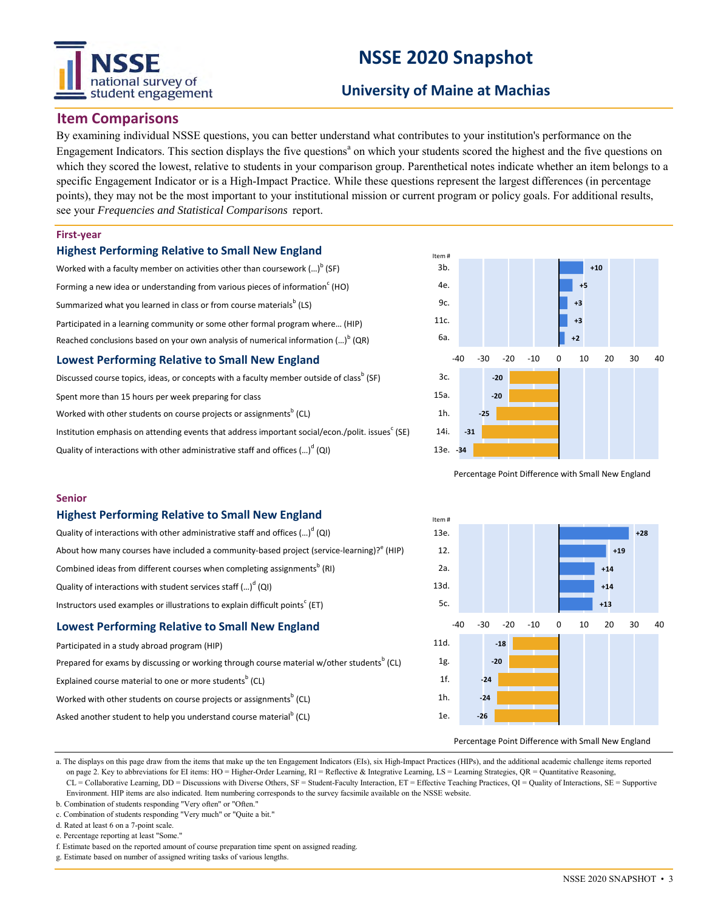# tional survey of student engagement

# **NSSE 2020 Snapshot**

# **University of Maine at Machias**

# **Item Comparisons**

By examining individual NSSE questions, you can better understand what contributes to your institution's performance on the Engagement Indicators. This section displays the five questions<sup>a</sup> on which your students scored the highest and the five questions on which they scored the lowest, relative to students in your comparison group. Parenthetical notes indicate whether an item belongs to a specific Engagement Indicator or is a High-Impact Practice. While these questions represent the largest differences (in percentage points), they may not be the most important to your institutional mission or current program or policy goals. For additional results, see your *Frequencies and Statistical Comparisons* report.

### **First-year**

**Senior**

### **Highest Performing Relative to Small New England**

Worked with a faculty member on activities other than coursework  $\left( ...\right) ^{\mathsf{b}}$  (SF) Forming a new idea or understanding from various pieces of information $\text{c}$  (HO) Summarized what you learned in class or from course materials $^{\rm b}$  (LS) Participated in a learning community or some other formal program where… (HIP) Reached conclusions based on your own analysis of numerical information  $\left( ...\right) ^{\mathsf{b}}$  (QR) **Lowest Performing Relative to Small New England**

Discussed course topics, ideas, or concepts with a faculty member outside of class<sup>b</sup> (SF)

Spent more than 15 hours per week preparing for class

Worked with other students on course projects or assignments $^{\rm b}$  (CL)

Institution emphasis on attending events that address important social/econ./polit. issues $^{\rm c}$  (SE)

About how many courses have included a community-based project (service-learning)? $^{\text{e}}$  (HIP)

Prepared for exams by discussing or working through course material w/other students<sup>b</sup> (CL)

Quality of interactions with other administrative staff and offices  $\left( ...\right) ^{d}\left( \mathsf{Q}\right)$ 

**Highest Performing Relative to Small New England** Quality of interactions with other administrative staff and offices  $(...)^d$  (QI)

Combined ideas from different courses when completing assignments<sup>b</sup> (RI)

Instructors used examples or illustrations to explain difficult points<sup>c</sup> (ET) **Lowest Performing Relative to Small New England**

Worked with other students on course projects or assignments $^{\rm b}$  (CL) Asked another student to help you understand course material<sup>b</sup> (CL)

Quality of interactions with student services staff (...)<sup>d</sup> (QI)

Explained course material to one or more students<sup>b</sup> (CL)

Participated in a study abroad program (HIP)



Percentage Point Difference with Small New England



#### Percentage Point Difference with Small New England

a. The displays on this page draw from the items that make up the ten Engagement Indicators (EIs), six High-Impact Practices (HIPs), and the additional academic challenge items reported on page 2. Key to abbreviations for EI items: HO = Higher-Order Learning, RI = Reflective & Integrative Learning, LS = Learning Strategies, QR = Quantitative Reasoning, CL = Collaborative Learning, DD = Discussions with Diverse Others, SF = Student-Faculty Interaction, ET = Effective Teaching Practices, QI = Quality of Interactions, SE = Supportive Environment. HIP items are also indicated. Item numbering corresponds to the survey facsimile available on the NSSE website.

b. Combination of students responding "Very often" or "Often."

c. Combination of students responding "Very much" or "Quite a bit."

d. Rated at least 6 on a 7-point scale.

e. Percentage reporting at least "Some."

f. Estimate based on the reported amount of course preparation time spent on assigned reading.

g. Estimate based on number of assigned writing tasks of various lengths.